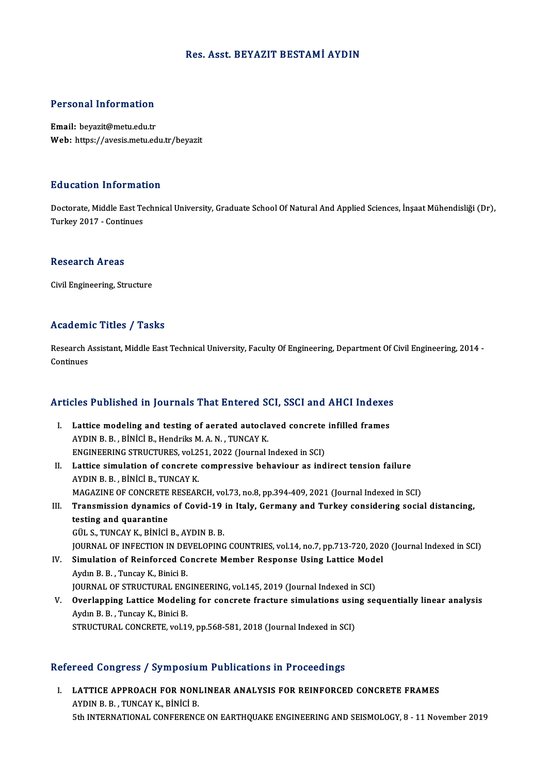## Res. Asst. BEYAZIT BESTAMİ AYDIN

## Personal Information

Email: beyazit@metu.edu.tr Web: https://avesis.metu.edu.tr/beyazit

#### Education Information

**Education Information**<br>Doctorate, Middle East Technical University, Graduate School Of Natural And Applied Sciences, İnşaat Mühendisliği (Dr),<br>Turkey 2017, Continues 201001011 - 11101<br>Doctorate, Middle East Te<br>Turkey 2017 - Continues Turkey 2017 - Continues<br>Research Areas

Civil Engineering, Structure

# Academic Titles / Tasks

Academic Titles / Tasks<br>Research Assistant, Middle East Technical University, Faculty Of Engineering, Department Of Civil Engineering, 2014 -<br>Centinues Research A<br>Continues

# Articles Published in Journals That Entered SCI, SSCI and AHCI Indexes

- The Published in Journals That Entered SCI, SSCI and AHCI Indexes<br>I. Lattice modeling and testing of aerated autoclaved concrete infilled frames<br>AVDIN B. B. Pinici B. Hondriks M.A. N. TINCAV K. I. Lattice modeling and testing of aerated autoclaved concrete infilled frames<br>AYDIN B.B., BİNİCİ B., Hendriks M.A.N., TUNCAY K. Lattice modeling and testing of aerated autoclaved concrete<br>AYDIN B. B. , BİNİCİ B., Hendriks M. A. N. , TUNCAY K.<br>ENGINEERING STRUCTURES, vol.251, 2022 (Journal Indexed in SCI)<br>Lattice simulation of concrete compressive b
- II. Lattice simulation of concrete compressive behaviour as indirect tension failure<br>AYDIN B. B., BINICI B., TUNCAY K. ENGINEERING STRUCTURES, vol.2<br>Lattice simulation of concrete<br>AYDIN B. B. , BİNİCİ B., TUNCAY K.<br>MACAZINE OE CONCRETE BESEAR Lattice simulation of concrete compressive behaviour as indirect tension failure<br>AYDIN B. B. , BİNİCİ B., TUNCAY K.<br>MAGAZINE OF CONCRETE RESEARCH, vol.73, no.8, pp.394-409, 2021 (Journal Indexed in SCI)<br>Transmission dunami AYDIN B. B. , BİNİCİ B., TUNCAY K.<br>MAGAZINE OF CONCRETE RESEARCH, vol.73, no.8, pp.394-409, 2021 (Journal Indexed in SCI)<br>III. Transmission dynamics of Covid-19 in Italy, Germany and Turkey considering social distancin
- MAGAZINE OF CONCRETE<br>Transmission dynamics<br>testing and quarantine **Transmission dynamics of Covid-19<br>testing and quarantine<br>GÜL S., TUNCAY K., BİNİCİ B., AYDIN B. B.<br>JOUPMAL OF INFECTION IN DEVELOPINC** testing and quarantine<br>GÜL S., TUNCAY K., BİNİCİ B., AYDIN B. B.<br>JOURNAL OF INFECTION IN DEVELOPING COUNTRIES, vol.14, no.7, pp.713-720, 2020 (Journal Indexed in SCI)<br>Simulation of Beinforsed Consesta Member Besponse Heing GÜL S., TUNCAY K., BINICI B., AYDIN B. B.<br>JOURNAL OF INFECTION IN DEVELOPING COUNTRIES, vol.14, no.7, pp.713-720, 202<br>IV. Simulation of Reinforced Concrete Member Response Using Lattice Model
- **JOURNAL OF INFECTION IN DE<br>Simulation of Reinforced Co<br>Aydın B. B. , Tuncay K., Binici B.<br>JOUPNAL OF STPUCTURAL ENG** Simulation of Reinforced Concrete Member Response Using Lattice Mode<br>Aydın B. B. , Tuncay K., Binici B.<br>JOURNAL OF STRUCTURAL ENGINEERING, vol.145, 2019 (Journal Indexed in SCI)<br>Querlanning Lattice Modeling for concrete fr Aydın B. B. , Tuncay K., Binici B.<br>JOURNAL OF STRUCTURAL ENGINEERING, vol.145, 2019 (Journal Indexed in SCI)<br>V. Overlapping Lattice Modeling for concrete fracture simulations using sequentially linear analysis<br>Aydın B. B.
- **JOURNAL OF STRUCTURAL ENC<br>Overlapping Lattice Modelin<br>Aydın B. B., Tuncay K., Binici B.<br>STRUCTURAL CONCRETE VALU** STRUCTURAL CONCRETE, vol.19, pp.568-581, 2018 (Journal Indexed in SCI)

# Refereed Congress / Symposium Publications in Proceedings

I. LATTICE APPROACH FOR NONLINEAR ANALYSIS FOR REINFORCED CONCRETE FRAMES AYDINB.B. ,TUNCAYK.,BİNİCİB. 5th INTERNATIONAL CONFERENCE ON EARTHQUAKE ENGINEERING AND SEISMOLOGY, 8 - 11 November 2019